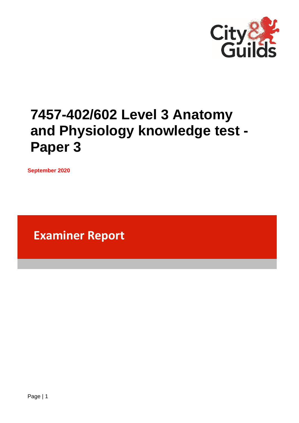

# **7457-402/602 Level 3 Anatomy and Physiology knowledge test - Paper 3**

**September 2020**

**Examiner Report**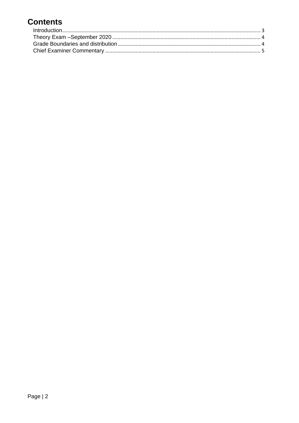# **Contents**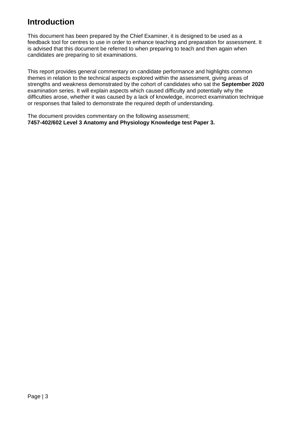### <span id="page-2-0"></span>**Introduction**

This document has been prepared by the Chief Examiner, it is designed to be used as a feedback tool for centres to use in order to enhance teaching and preparation for assessment. It is advised that this document be referred to when preparing to teach and then again when candidates are preparing to sit examinations.

This report provides general commentary on candidate performance and highlights common themes in relation to the technical aspects explored within the assessment, giving areas of strengths and weakness demonstrated by the cohort of candidates who sat the **September 2020** examination series. It will explain aspects which caused difficulty and potentially why the difficulties arose, whether it was caused by a lack of knowledge, incorrect examination technique or responses that failed to demonstrate the required depth of understanding.

The document provides commentary on the following assessment; **7457-402/602 Level 3 Anatomy and Physiology Knowledge test Paper 3.**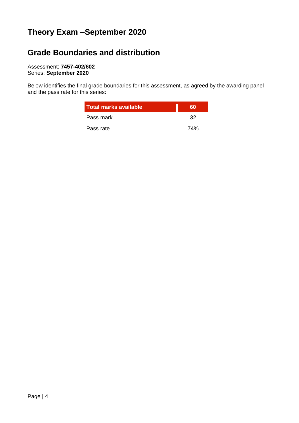# <span id="page-3-0"></span>**Theory Exam –September 2020**

# <span id="page-3-1"></span>**Grade Boundaries and distribution**

Assessment: **7457-402/602** Series: **September 2020**

Below identifies the final grade boundaries for this assessment, as agreed by the awarding panel and the pass rate for this series:

| Total marks available | 'ao |
|-----------------------|-----|
| Pass mark             | 32  |
| Pass rate             | 74% |